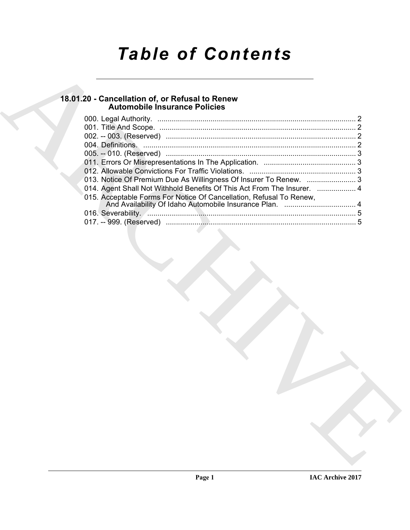# *Table of Contents*

# **18.01.20 - Cancellation of, or Refusal to Renew Automobile Insurance Policies**

| 18.01.20 - Cancellation of, or Refusal to Renew<br><b>Automobile Insurance Policies</b> |  |
|-----------------------------------------------------------------------------------------|--|
|                                                                                         |  |
|                                                                                         |  |
|                                                                                         |  |
|                                                                                         |  |
|                                                                                         |  |
|                                                                                         |  |
| 013. Notice Of Premium Due As Willingness Of Insurer To Renew.  3                       |  |
| 014. Agent Shall Not Withhold Benefits Of This Act From The Insurer.  4                 |  |
| 015. Acceptable Forms For Notice Of Cancellation, Refusal To Renew,                     |  |
| 016. Severability. <b>All Commissions Commissions</b> 3                                 |  |
|                                                                                         |  |
|                                                                                         |  |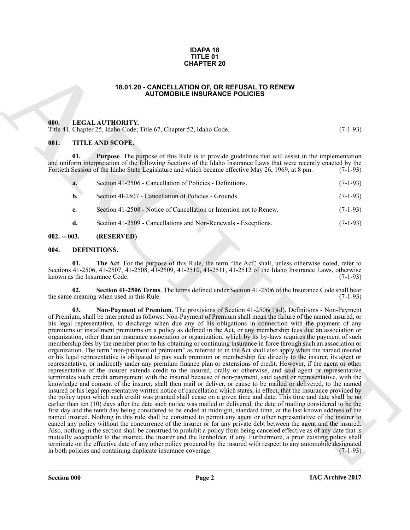#### **IDAPA 18 TITLE 01 CHAPTER 20**

#### **18.01.20 - CANCELLATION OF, OR REFUSAL TO RENEW AUTOMOBILE INSURANCE POLICIES**

#### <span id="page-1-1"></span><span id="page-1-0"></span>**000. LEGAL AUTHORITY.**

Title 41, Chapter 25, Idaho Code; Title 67, Chapter 52, Idaho Code. (7-1-93)

#### <span id="page-1-2"></span>**001. TITLE AND SCOPE.**

**01. Purpose**. The purpose of this Rule is to provide guidelines that will assist in the implementation and uniform interpretation of the following Sections of the Idaho Insurance Laws that were recently enacted by the Fortieth Session of the Idaho State Legislature and which became effective May 26, 1969, at 8 pm. (7-1-93) Fortieth Session of the Idaho State Legislature and which became effective May 26, 1969, at 8 pm.

| a.             | Section 41-2506 - Cancellation of Policies - Definitions.           | $(7-1-93)$ |
|----------------|---------------------------------------------------------------------|------------|
| $\mathbf{b}$ . | Section 41-2507 - Cancellation of Policies - Grounds.               | $(7-1-93)$ |
| $c_{\cdot}$    | Section 41-2508 - Notice of Cancellation or Intention not to Renew. | $(7-1-93)$ |
| d.             | Section 41-2509 - Cancellations and Non-Renewals - Exceptions.      | $(7-1-93)$ |

#### <span id="page-1-3"></span>**002. -- 003. (RESERVED)**

#### <span id="page-1-5"></span><span id="page-1-4"></span>**004. DEFINITIONS.**

<span id="page-1-8"></span>**01. The Act**. For the purpose of this Rule, the term "the Act" shall, unless otherwise noted, refer to Sections 41-2506, 41-2507, 41-2508, 41-2509, 41-2510, 41-2511, 41-2512 of the Idaho Insurance Laws, otherwise known as the Insurance Code. (7-1-93)

<span id="page-1-7"></span><span id="page-1-6"></span>**02.** Section 41-2506 Terms. The terms defined under Section 41-2506 of the Insurance Code shall bear meaning when used in this Rule. (7-1-93) the same meaning when used in this Rule.

**CHAPTER 20**<br> **CHAPTER 20**<br> **CHAPTER 20**<br> **CHAPTER 2014 CHAPTER CHAPTER CHAPTER CHAPTER CHAPTER 2014 CHAPTER CHAPTER CHAPTER CHAPTER CHAPTER CHAPTER CHAPTER CHAPTER 2014 CHAPTER CHAPTER CHAPTER CHAPTER CHAPTER CHAPTER CHA 03. Non-Payment of Premium**. The provisions of Section 41-2506(1)(d), Definitions - Non-Payment of Premium, shall be interpreted as follows: Non-Payment of Premium shall mean the failure of the named insured, or his legal representative, to discharge when due any of his obligations in connection with the payment of any premiums or installment premiums on a policy as defined in the Act, or any membership fees due an association or organization, other than an insurance association or organization, which by its by-laws requires the payment of such membership fees by the member prior to his obtaining or continuing insurance in force through such an association or organization. The term "non-payment of premium" as referred to in the Act shall also apply when the named insured or his legal representative is obligated to pay such premium or membership fee directly to the insurer, its agent or representative, or indirectly under any premium finance plan or extensions of credit. However, if the agent or other representative of the insurer extends credit to the insured, orally or otherwise, and said agent or representative terminates such credit arrangement with the insured because of non-payment, said agent or representative, with the knowledge and consent of the insurer, shall then mail or deliver, or cause to be mailed or delivered, to the named insured or his legal representative written notice of cancellation which states, in effect, that the insurance provided by the policy upon which such credit was granted shall cease on a given time and date. This time and date shall be no earlier than ten (10) days after the date such notice was mailed or delivered, the date of mailing considered to be the first day and the tenth day being considered to be ended at midnight, standard time, at the last known address of the named insured. Nothing in this rule shall be construed to permit any agent or other representative of the insurer to cancel any policy without the concurrence of the insurer or for any private debt between the agent and the insured. Also, nothing in the section shall be construed to prohibit a policy from being canceled effective as of any date that is mutually acceptable to the insured, the insurer and the lienholder, if any. Furthermore, a prior existing policy shall terminate on the effective date of any other policy procured by the insured with respect to any automobile designated<br>in both policies and containing duplicate insurance coverage. (7-1-93) in both policies and containing duplicate insurance coverage.

**Section 000 Page 2**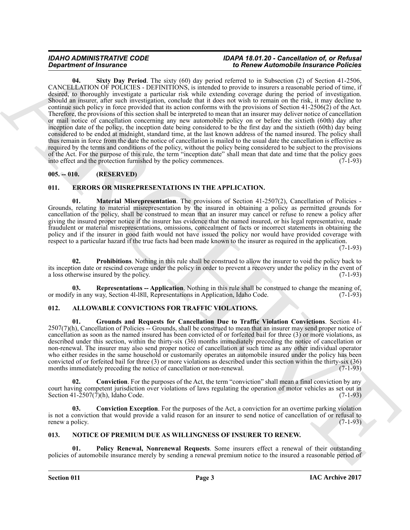#### <span id="page-2-8"></span>*IDAHO ADMINISTRATIVE CODE IDAPA 18.01.20 - Cancellation of, or Refusal Department of Insurance to Renew Automobile Insurance Policies*

**Equivalent of Insurance Control (1988)** the pair of Benera Material Control (1988) (2003) (2003) (2003) (2003) (2003) (2003) (2003) (2003) (2003) (2003) (2003) (2003) (2003) (2003) (2003) (2003) (2003) (2003) (2003) (200 **04. Sixty Day Period**. The sixty (60) day period referred to in Subsection (2) of Section 41-2506, CANCELLATION OF POLICIES - DEFINITIONS, is intended to provide to insurers a reasonable period of time, if desired, to thoroughly investigate a particular risk while extending coverage during the period of investigation. Should an insurer, after such investigation, conclude that it does not wish to remain on the risk, it may decline to continue such policy in force provided that its action conforms with the provisions of Section 41-2506(2) of the Act. Therefore, the provisions of this section shall be interpreted to mean that an insurer may deliver notice of cancellation or mail notice of cancellation concerning any new automobile policy on or before the sixtieth (60th) day after inception date of the policy, the inception date being considered to be the first day and the sixtieth (60th) day being considered to be ended at midnight, standard time, at the last known address of the named insured. The policy shall thus remain in force from the date the notice of cancellation is mailed to the usual date the cancellation is effective as required by the terms and conditions of the policy, without the policy being considered to be subject to the provisions of the Act. For the purpose of this rule, the term "inception date" shall mean that date and time that the policy goes into effect and the protection furnished by the policy commences. (7-1-93) into effect and the protection furnished by the policy commences.

### <span id="page-2-0"></span>**005. -- 010. (RESERVED)**

### <span id="page-2-9"></span><span id="page-2-1"></span>**011. ERRORS OR MISREPRESENTATIONS IN THE APPLICATION.**

<span id="page-2-10"></span>**01. Material Misrepresentation**. The provisions of Section 41-2507(2), Cancellation of Policies - Grounds, relating to material misrepresentation by the insured in obtaining a policy as permitted grounds for cancellation of the policy, shall be construed to mean that an insurer may cancel or refuse to renew a policy after giving the insured proper notice if the insurer has evidence that the named insured, or his legal representative, made fraudulent or material misrepresentations, omissions, concealment of facts or incorrect statements in obtaining the policy and if the insurer in good faith would not have issued the policy nor would have provided coverage with respect to a particular hazard if the true facts had been made known to the insurer as required in the application.

 $(7-1-93)$ 

<span id="page-2-11"></span>**02. Prohibitions**. Nothing in this rule shall be construed to allow the insurer to void the policy back to its inception date or rescind coverage under the policy in order to prevent a recovery under the policy in the event of a loss otherwise insured by the policy. (7-1-93)

<span id="page-2-12"></span>**03. Representations -- Application**. Nothing in this rule shall be construed to change the meaning of, y in any way, Section 41-1811, Representations in Application, Idaho Code. (7-1-93) or modify in any way, Section 41-1811, Representations in Application, Idaho Code.

#### <span id="page-2-4"></span><span id="page-2-2"></span>**012. ALLOWABLE CONVICTIONS FOR TRAFFIC VIOLATIONS.**

<span id="page-2-7"></span>**01. Grounds and Requests for Cancellation Due to Traffic Violation Convictions**. Section 41- 2507(7)(h), Cancellation of Policies -- Grounds, shall be construed to mean that an insurer may send proper notice of cancellation as soon as the named insured has been convicted of or forfeited bail for three (3) or more violations, as described under this section, within the thirty-six (36) months immediately preceding the notice of cancellation or non-renewal. The insurer may also send proper notice of cancellation at such time as any other individual operator who either resides in the same household or customarily operates an automobile insured under the policy has been convicted of or forfeited bail for three (3) or more violations as described under this section within the thirty-six (36) months immediately preceding the notice of cancellation or non-renewal. (7-1-93) months immediately preceding the notice of cancellation or non-renewal.

<span id="page-2-5"></span>**02.** Conviction. For the purposes of the Act, the term "conviction" shall mean a final conviction by any court having competent jurisdiction over violations of laws regulating the operation of motor vehicles as set out in Section 41-2507(7)(h), Idaho Code.  $(7-1-93)$ 

<span id="page-2-6"></span>**03. Conviction Exception**. For the purposes of the Act, a conviction for an overtime parking violation is not a conviction that would provide a valid reason for an insurer to send notice of cancellation of or refusal to renew a policy.  $(7-1-93)$ 

#### <span id="page-2-13"></span><span id="page-2-3"></span>**013. NOTICE OF PREMIUM DUE AS WILLINGNESS OF INSURER TO RENEW.**

<span id="page-2-14"></span>**01. Policy Renewal, Nonrenewal Requests**. Some insurers effect a renewal of their outstanding policies of automobile insurance merely by sending a renewal premium notice to the insured a reasonable period of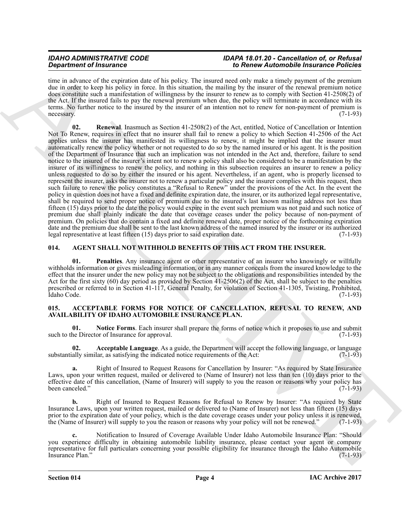#### *IDAHO ADMINISTRATIVE CODE IDAPA 18.01.20 - Cancellation of, or Refusal Department of Insurance to Renew Automobile Insurance Policies*

<span id="page-3-7"></span>time in advance of the expiration date of his policy. The insured need only make a timely payment of the premium due in order to keep his policy in force. In this situation, the mailing by the insurer of the renewal premium notice does constitute such a manifestation of willingness by the insurer to renew as to comply with Section 41-2508(2) of the Act. If the insured fails to pay the renewal premium when due, the policy will terminate in accordance with its terms. No further notice to the insured by the insurer of an intention not to renew for non-payment of premium is necessary. (7-1-93)

**Solution of Francesco Construents** in Benedicties and the spectral interaction of the spectral interaction of the spectral interaction of the spectral interaction of the spectral interaction of the spectral interaction o **02. Renewal**. Inasmuch as Section 41-2508(2) of the Act, entitled, Notice of Cancellation or Intention Not To Renew, requires in effect that no insurer shall fail to renew a policy to which Section 41-2506 of the Act applies unless the insurer has manifested its willingness to renew, it might be implied that the insurer must automatically renew the policy whether or not requested to do so by the named insured or his agent. It is the position of the Department of Insurance that such an implication was not intended in the Act and, therefore, failure to send notice to the insured of the insurer's intent not to renew a policy shall also be considered to be a manifestation by the insurer of its willingness to renew the policy, and nothing in this subsection requires an insurer to renew a policy unless requested to do so by either the insured or his agent. Nevertheless, if an agent, who is properly licensed to represent the insurer, asks the insurer not to renew a particular policy and the insurer complies with this request, then such failure to renew the policy constitutes a "Refusal to Renew" under the provisions of the Act. In the event the policy in question does not have a fixed and definite expiration date, the insurer, or its authorized legal representative, shall be required to send proper notice of premium due to the insured's last known mailing address not less than fifteen (15) days prior to the date the policy would expire in the event such premium was not paid and such notice of premium due shall plainly indicate the date that coverage ceases under the policy because of non-payment of premium. On policies that do contain a fixed and definite renewal date, proper notice of the forthcoming expiration date and the premium due shall be sent to the last known address of the named insured by the insurer or its authorized legal representative at least fifteen (15) days prior to said expiration date. (7-1-93)

### <span id="page-3-5"></span><span id="page-3-0"></span>**014. AGENT SHALL NOT WITHHOLD BENEFITS OF THIS ACT FROM THE INSURER.**

<span id="page-3-6"></span>**01. Penalties**. Any insurance agent or other representative of an insurer who knowingly or willfully withholds information or gives misleading information, or in any manner conceals from the insured knowledge to the effect that the insurer under the new policy may not be subject to the obligations and responsibilities intended by the Act for the first sixty (60) day period as provided by Section 41-2506(2) of the Act, shall be subject to the penalties prescribed or referred to in Section 41-117, General Penalty, for violation of Section 41-1305, Twisting, Prohibited, Idaho Code. (7-1-93)

#### <span id="page-3-2"></span><span id="page-3-1"></span>**015. ACCEPTABLE FORMS FOR NOTICE OF CANCELLATION, REFUSAL TO RENEW, AND AVAILABILITY OF IDAHO AUTOMOBILE INSURANCE PLAN.**

<span id="page-3-4"></span>**01.** Notice Forms. Each insurer shall prepare the forms of notice which it proposes to use and submit the Director of Insurance for approval. (7-1-93) such to the Director of Insurance for approval.

<span id="page-3-3"></span>**02. Acceptable Language**. As a guide, the Department will accept the following language, or language ally similar, as satisfying the indicated notice requirements of the Act: (7-1-93) substantially similar, as satisfying the indicated notice requirements of the Act:

**a.** Right of Insured to Request Reasons for Cancellation by Insurer: "As required by State Insurance Laws, upon your written request, mailed or delivered to (Name of Insurer) not less than ten (10) days prior to the effective date of this cancellation, (Name of Insurer) will supply to you the reason or reasons why your policy has been canceled." (7-1-93) been canceled." (7-1-93)

**b.** Right of Insured to Request Reasons for Refusal to Renew by Insurer: "As required by State Insurance Laws, upon your written request, mailed or delivered to (Name of Insurer) not less than fifteen (15) days prior to the expiration date of your policy, which is the date coverage ceases under your policy unless it is renewed, the (Name of Insurer) will supply to you the reason or reasons why your policy will not be renewed." (7-1-93)

**c.** Notification to Insured of Coverage Available Under Idaho Automobile Insurance Plan: "Should you experience difficulty in obtaining automobile liability insurance, please contact your agent or company representative for full particulars concerning your possible eligibility for insurance through the Idaho Automobile Insurance Plan." (7-1-93)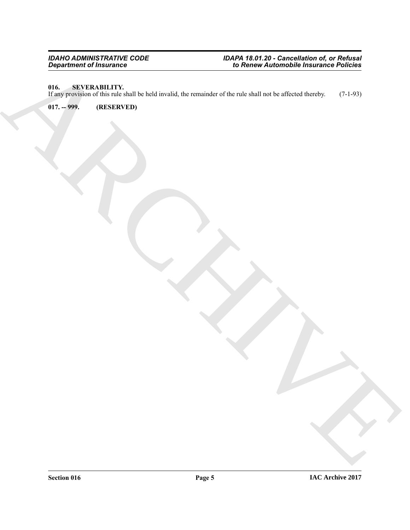# <span id="page-4-0"></span>**016. SEVERABILITY.**

Beginster d'Indiana (1971)<br>Archives de la Version de Version de la Version de la Version de la Version de Version de Version de Version<br>Archives de la Version de Version de Version de Version de Version de Version de Versi If any provision of this rule shall be held invalid, the remainder of the rule shall not be affected thereby. (7-1-93)

<span id="page-4-1"></span>**017. -- 999. (RESERVED)**